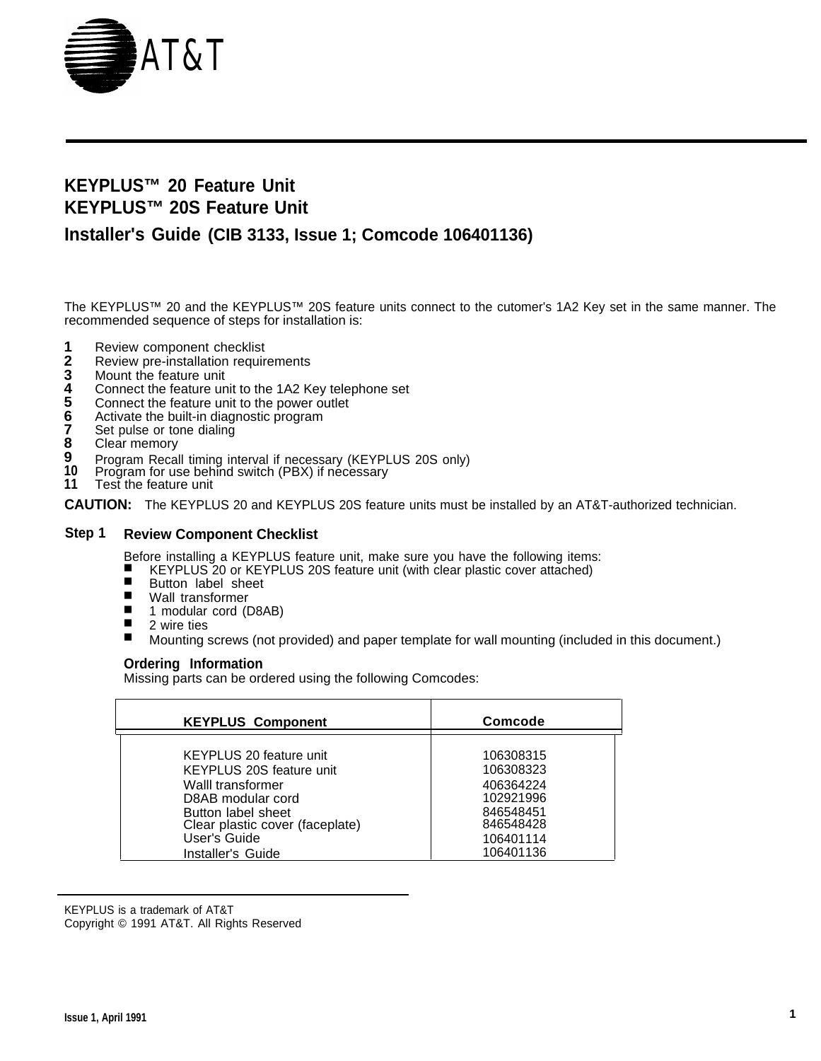

# **KEYPLUS™ 20 Feature Unit KEYPLUS™ 20S Feature Unit**

# **Installer's Guide (CIB 3133, Issue 1; Comcode 106401136)**

The KEYPLUS™ 20 and the KEYPLUS™ 20S feature units connect to the cutomer's 1A2 Key set in the same manner. The recommended sequence of steps for installation is:

- **1** Review component checklist
- **2** Review pre-installation requirements
- **3** Mount the feature unit
- **4** Connect the feature unit to the 1A2 Key telephone set
- **5** Connect the feature unit to the power outlet
- **6** Activate the built-in diagnostic program
- **7** Set pulse or tone dialing
- **8** Clear memory
- **9** Program Recall timing interval if necessary (KEYPLUS 20S only)
- **10** Program for use behind switch (PBX) if necessary
- **11** Test the feature unit

**CAUTION:** The KEYPLUS 20 and KEYPLUS 20S feature units must be installed by an AT&T-authorized technician.

# **Step 1 Review Component Checklist**

Before installing a KEYPLUS feature unit, make sure you have the following items:

- KEYPLUS 20 or KEYPLUS 20S feature unit (with clear plastic cover attached)
- Button label sheet
- Wall transformer
- 1 modular cord (D8AB)
- 2 wire ties
- Mounting screws (not provided) and paper template for wall mounting (included in this document.)

# **Ordering Information**

Missing parts can be ordered using the following Comcodes:

| <b>KEYPLUS Component</b>        | <b>Comcode</b> |
|---------------------------------|----------------|
| KEYPLUS 20 feature unit         | 106308315      |
| KEYPLUS 20S feature unit        | 106308323      |
| Walll transformer               | 406364224      |
| D8AB modular cord               | 102921996      |
| Button label sheet              | 846548451      |
| Clear plastic cover (faceplate) | 846548428      |
| User's Guide                    | 106401114      |
| Installer's Guide               | 106401136      |

KEYPLUS is a trademark of AT&T

Copyright © 1991 AT&T. All Rights Reserved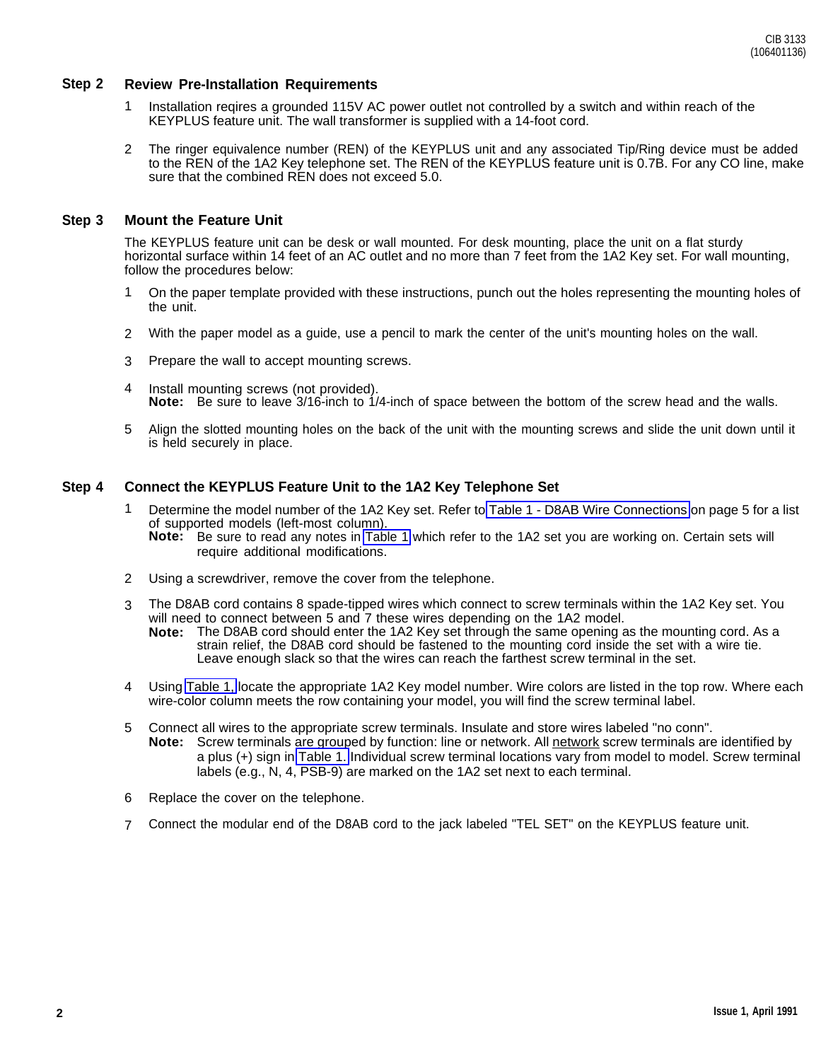# **Step 2 Review Pre-Installation Requirements**

- 1 Installation reqires a grounded 115V AC power outlet not controlled by a switch and within reach of the KEYPLUS feature unit. The wall transformer is supplied with a 14-foot cord.
- 2 The ringer equivalence number (REN) of the KEYPLUS unit and any associated Tip/Ring device must be added to the REN of the 1A2 Key telephone set. The REN of the KEYPLUS feature unit is 0.7B. For any CO line, make sure that the combined REN does not exceed 5.0.

# **Step 3 Mount the Feature Unit**

The KEYPLUS feature unit can be desk or wall mounted. For desk mounting, place the unit on a flat sturdy horizontal surface within 14 feet of an AC outlet and no more than 7 feet from the 1A2 Key set. For wall mounting, follow the procedures below:

- 1 On the paper template provided with these instructions, punch out the holes representing the mounting holes of the unit.
- 2 With the paper model as a guide, use a pencil to mark the center of the unit's mounting holes on the wall.
- 3 Prepare the wall to accept mounting screws.
- 4 Install mounting screws (not provided). Note: Be sure to leave 3/16-inch to 1/4-inch of space between the bottom of the screw head and the walls.
- 5 Align the slotted mounting holes on the back of the unit with the mounting screws and slide the unit down until it is held securely in place.

# **Step 4 Connect the KEYPLUS Feature Unit to the 1A2 Key Telephone Set**

- 1 Determine the model number of the 1A2 Key set. Refer to [Table 1 D8AB Wire Connections](#page-4-0) on page 5 for a list of supported models (left-most column). **Note:** Be sure to read any notes in [Table 1](#page-4-0) which refer to the 1A2 set you are working on. Certain sets will
	- require additional modifications.
- 2 Using a screwdriver, remove the cover from the telephone.
- 3 The D8AB cord contains 8 spade-tipped wires which connect to screw terminals within the 1A2 Key set. You will need to connect between 5 and 7 these wires depending on the 1A2 model. **Note:** The D8AB cord should enter the 1A2 Key set through the same opening as the mounting cord. As a strain relief, the D8AB cord should be fastened to the mounting cord inside the set with a wire tie. Leave enough slack so that the wires can reach the farthest screw terminal in the set.
- 4 Using [Table 1,](#page-4-0) locate the appropriate 1A2 Key model number. Wire colors are listed in the top row. Where each wire-color column meets the row containing your model, you will find the screw terminal label.
- 5 Connect all wires to the appropriate screw terminals. Insulate and store wires labeled "no conn". **Note:** Screw terminals are grouped by function: line or network. All network screw terminals are identified by a plus (+) sign in [Table 1.](#page-4-0) Individual screw terminal locations vary from model to model. Screw terminal labels (e.g., N, 4, PSB-9) are marked on the 1A2 set next to each terminal.
- 6 Replace the cover on the telephone.
- 7 Connect the modular end of the D8AB cord to the jack labeled "TEL SET" on the KEYPLUS feature unit.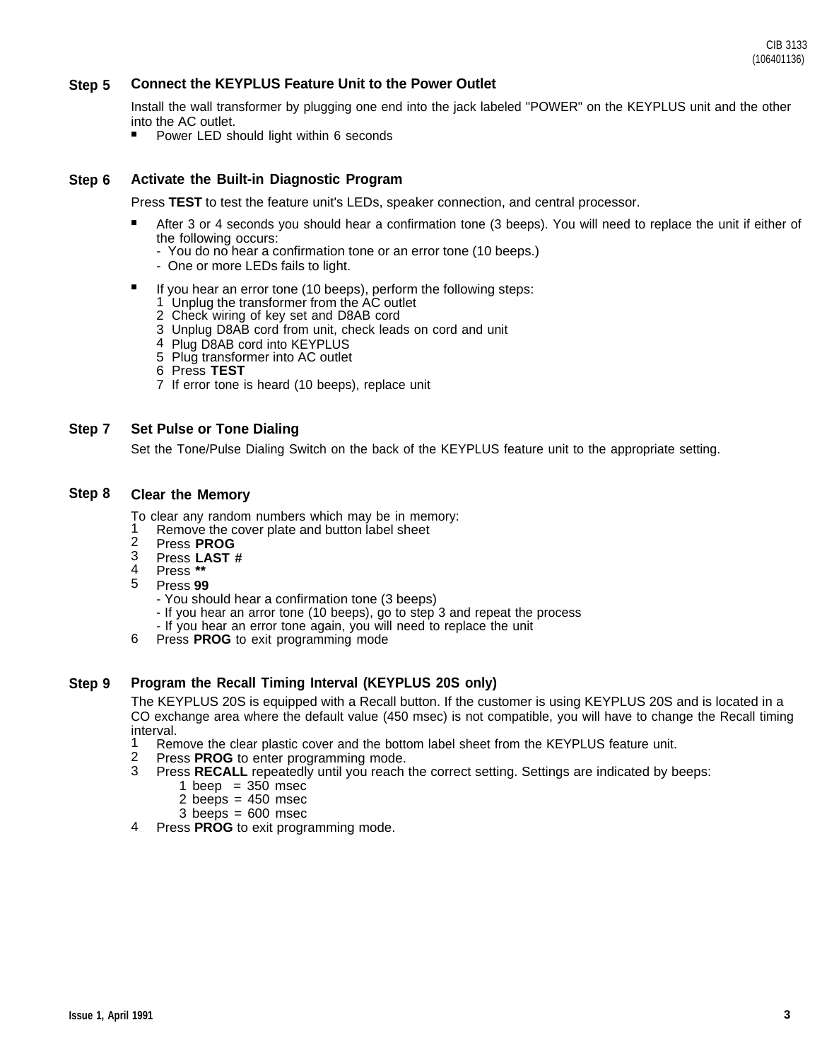#### **Step 5 Connect the KEYPLUS Feature Unit to the Power Outlet**

Install the wall transformer by plugging one end into the jack labeled "POWER" on the KEYPLUS unit and the other into the AC outlet.

■ Power LED should light within 6 seconds

#### **Step 6 Activate the Built-in Diagnostic Program**

Press **TEST** to test the feature unit's LEDs, speaker connection, and central processor.

- After 3 or 4 seconds you should hear a confirmation tone (3 beeps). You will need to replace the unit if either of the following occurs:
	- You do no hear a confirmation tone or an error tone (10 beeps.)
	- One or more LEDs fails to light.
- If you hear an error tone (10 beeps), perform the following steps:
	- 1 Unplug the transformer from the AC outlet
	- 2 Check wiring of key set and D8AB cord
	- 3 Unplug D8AB cord from unit, check leads on cord and unit
	- 4 Plug D8AB cord into KEYPLUS
	- 5 Plug transformer into AC outlet
	- 6 Press **TEST**
	- 7 If error tone is heard (10 beeps), replace unit

#### **Step 7 Set Pulse or Tone Dialing**

Set the Tone/Pulse Dialing Switch on the back of the KEYPLUS feature unit to the appropriate setting.

#### **Step 8 Clear the Memory**

To clear any random numbers which may be in memory:

- 1 Remove the cover plate and button label sheet
- 2 Press **PROG**
- 3 Press **LAST #**
- 4 Press **\*\***
- 5 Press **99**
	- You should hear a confirmation tone (3 beeps)
	- If you hear an arror tone (10 beeps), go to step 3 and repeat the process
	- If you hear an error tone again, you will need to replace the unit
- 6 Press **PROG** to exit programming mode

#### **Step 9 Program the Recall Timing Interval (KEYPLUS 20S only)**

The KEYPLUS 20S is equipped with a Recall button. If the customer is using KEYPLUS 20S and is located in a CO exchange area where the default value (450 msec) is not compatible, you will have to change the Recall timing interval.

- 1 Remove the clear plastic cover and the bottom label sheet from the KEYPLUS feature unit.
- 2 Press **PROG** to enter programming mode.
- 3 Press **RECALL** repeatedly until you reach the correct setting. Settings are indicated by beeps:
	- 1 beep =  $350$  msec
		- 2 beeps  $= 450$  msec
		- $3$  beeps =  $600$  msec
- 4 Press **PROG** to exit programming mode.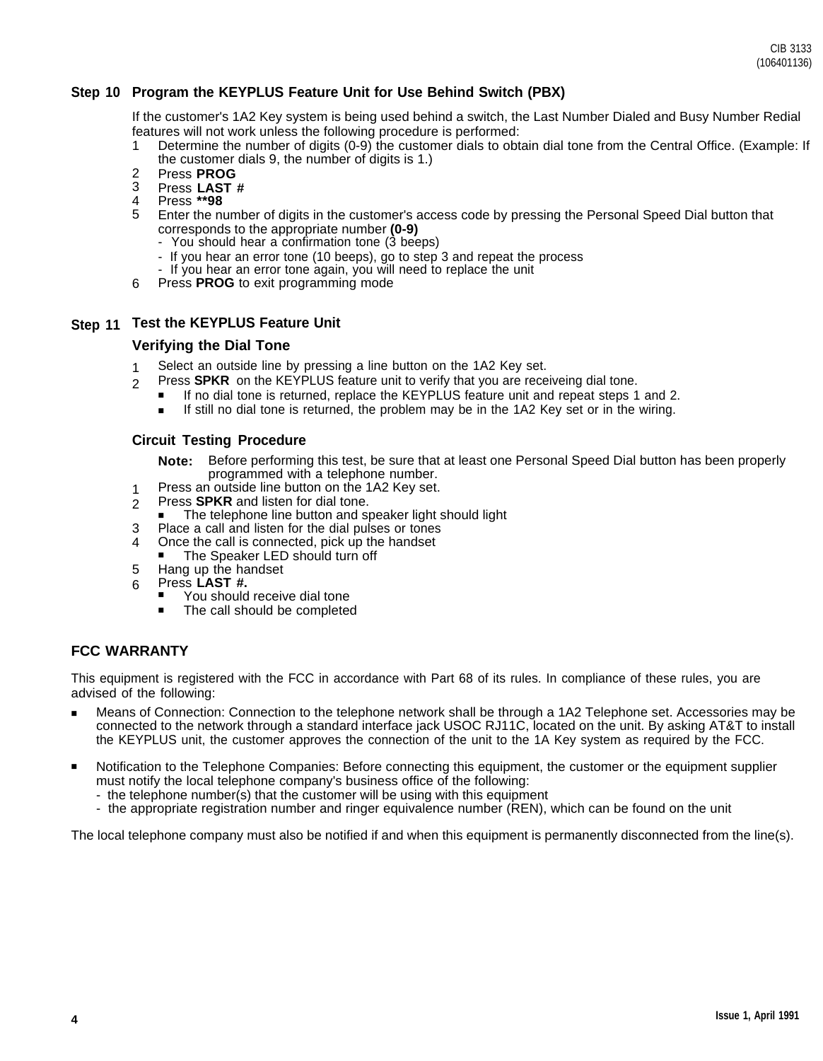CIB 3133 (106401136)

# **Step 10 Program the KEYPLUS Feature Unit for Use Behind Switch (PBX)**

If the customer's 1A2 Key system is being used behind a switch, the Last Number Dialed and Busy Number Redial features will not work unless the following procedure is performed:

- 1 Determine the number of digits (0-9) the customer dials to obtain dial tone from the Central Office. (Example: If the customer dials 9, the number of digits is 1.)
- 2 Press **PROG**
- 3 Press **LAST #**
- 4 Press **\*\*98**
- 5 Enter the number of digits in the customer's access code by pressing the Personal Speed Dial button that corresponds to the appropriate number **(0-9)**
	- You should hear a confirmation tone (3 beeps)
	- If you hear an error tone (10 beeps), go to step 3 and repeat the process
	- If you hear an error tone again, you will need to replace the unit
- 6 Press **PROG** to exit programming mode

# **Step 11 Test the KEYPLUS Feature Unit**

# **Verifying the Dial Tone**

- 1 Select an outside line by pressing a line button on the 1A2 Key set.
- 2 Press **SPKR** on the KEYPLUS feature unit to verify that you are receiveing dial tone.
	- If no dial tone is returned, replace the KEYPLUS feature unit and repeat steps 1 and 2. ■
	- If still no dial tone is returned, the problem may be in the 1A2 Key set or in the wiring. ■

# **Circuit Testing Procedure**

- **Note:** Before performing this test, be sure that at least one Personal Speed Dial button has been properly programmed with a telephone number.
- 1 Press an outside line button on the 1A2 Key set.
- 2 Press **SPKR** and listen for dial tone.
- The telephone line button and speaker light should light
- 3 Place a call and listen for the dial pulses or tones
- 4 Once the call is connected, pick up the handset
- The Speaker LED should turn off
- 5 Hang up the handset
- 6 Press **LAST #.**
	- You should receive dial tone
	- The call should be completed

# **FCC WARRANTY**

This equipment is registered with the FCC in accordance with Part 68 of its rules. In compliance of these rules, you are advised of the following:

- Means of Connection: Connection to the telephone network shall be through a 1A2 Telephone set. Accessories may be connected to the network through a standard interface jack USOC RJ11C, located on the unit. By asking AT&T to install the KEYPLUS unit, the customer approves the connection of the unit to the 1A Key system as required by the FCC.
- Notification to the Telephone Companies: Before connecting this equipment, the customer or the equipment supplier must notify the local telephone company's business office of the following:
	- the telephone number(s) that the customer will be using with this equipment
	- the appropriate registration number and ringer equivalence number (REN), which can be found on the unit

The local telephone company must also be notified if and when this equipment is permanently disconnected from the line(s).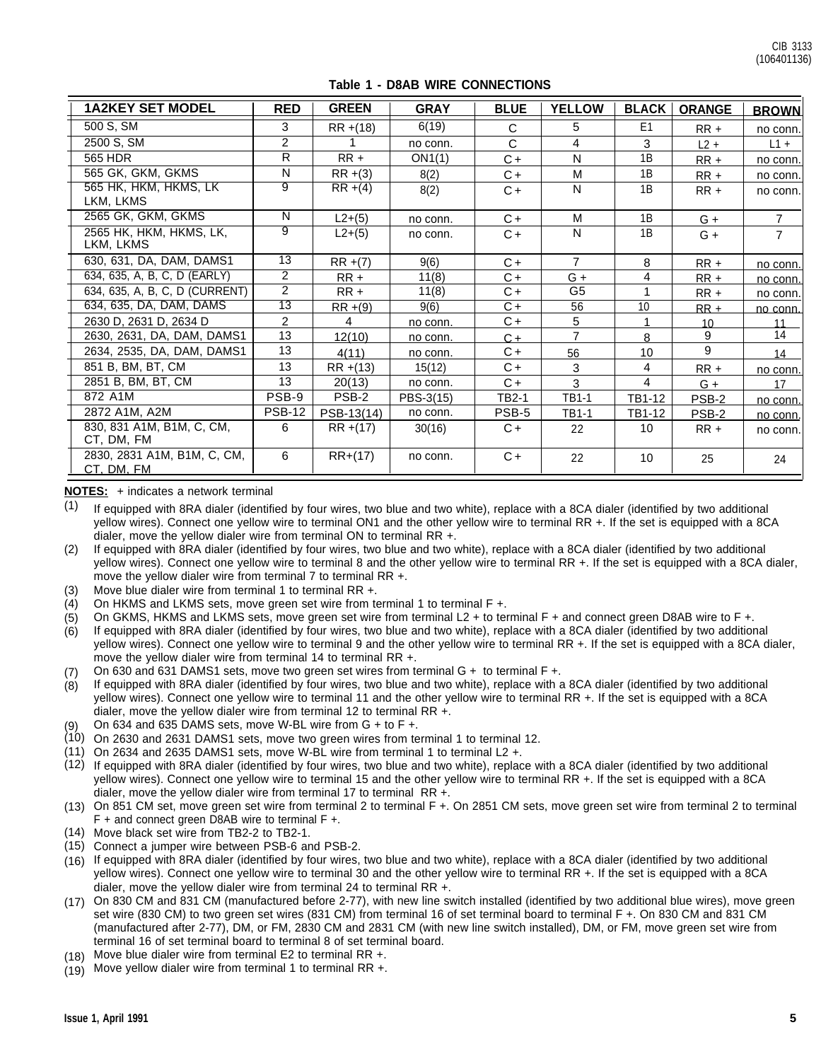<span id="page-4-0"></span>

| <b>1A2KEY SET MODEL</b>                   | <b>RED</b>     | <b>GREEN</b> | <b>GRAY</b> | <b>BLUE</b> | <b>YELLOW</b>  |                | <b>BLACK ORANGE</b> | <b>BROWN</b>   |
|-------------------------------------------|----------------|--------------|-------------|-------------|----------------|----------------|---------------------|----------------|
| 500 S, SM                                 | 3              | $RR + (18)$  | 6(19)       | C           | 5.             | E <sub>1</sub> | $RR +$              | no conn.       |
| 2500 S, SM                                | $\overline{2}$ |              | no conn.    | C           | $\overline{4}$ | 3              | $L2 +$              | $L1 +$         |
| 565 HDR                                   | R              | $RR +$       | ON1(1)      | $C +$       | N              | 1B             | $RR +$              | no conn.       |
| 565 GK, GKM, GKMS                         | N              | $RR + (3)$   | 8(2)        | C+          | M              | 1B             | $RR +$              | no conn.       |
| 565 HK, HKM, HKMS, LK<br>LKM, LKMS        | 9              | $RR + (4)$   | 8(2)        | $C +$       | N              | 1B             | $RR +$              | no conn.       |
| 2565 GK, GKM, GKMS                        | N              | $L2+(5)$     | no conn.    | $C +$       | M              | 1B             | G +                 | 7              |
| 2565 HK, HKM, HKMS, LK,<br>LKM, LKMS      | 9              | $L2+(5)$     | no conn.    | $C +$       | N              | 1B             | $G +$               | $\overline{7}$ |
| 630, 631, DA, DAM, DAMS1                  | 13             | $RR + (7)$   | 9(6)        | $C +$       | $\overline{7}$ | 8              | $RR +$              | no conn.       |
| 634, 635, A, B, C, D (EARLY)              | $\overline{2}$ | $RR +$       | 11(8)       | C+          | $G +$          | 4              | $RR +$              | no conn.       |
| 634, 635, A, B, C, D (CURRENT)            | $\overline{2}$ | $RR +$       | 11(8)       | $C +$       | G <sub>5</sub> |                | $RR +$              | no conn.       |
| 634, 635, DA, DAM, DAMS                   | 13             | $RR + (9)$   | 9(6)        | C+          | 56             | 10             | $RR +$              | no conn.       |
| 2630 D, 2631 D, 2634 D                    | $\overline{2}$ | 4            | no conn.    | C+          | 5              |                | 10 <sup>1</sup>     | 11             |
| 2630, 2631, DA, DAM, DAMS1                | 13             | 12(10)       | no conn.    | $C +$       | $\overline{7}$ | 8              | 9                   | 14             |
| 2634, 2535, DA, DAM, DAMS1                | 13             | 4(11)        | no conn.    | $C +$       | 56             | 10             | 9                   | 14             |
| 851 B, BM, BT, CM                         | 13             | RR +(13)     | 15(12)      | C+          | 3              | 4              | $RR +$              | no conn.       |
| 2851 B, BM, BT, CM                        | 13             | 20(13)       | no conn.    | C+          | 3              | 4              | $G +$               | 17             |
| 872 A1M                                   | PSB-9          | PSB-2        | PBS-3(15)   | TB2-1       | TB1-1          | TB1-12         | PSB-2               | no conn.       |
| 2872 A1M, A2M                             | <b>PSB-12</b>  | PSB-13(14)   | no conn.    | PSB-5       | <b>TB1-1</b>   | TB1-12         | PSB-2               | no conn.       |
| 830, 831 A1M, B1M, C, CM,<br>CT, DM, FM   | 6              | $RR + (17)$  | 30(16)      | $C +$       | 22             | 10             | $RR +$              | no conn.       |
| 2830, 2831 A1M, B1M, C, CM,<br>CT, DM, FM | 6              | $RR+(17)$    | no conn.    | $C +$       | 22             | 10             | 25                  | 24             |

# **Table 1 - D8AB WIRE CONNECTIONS**

### **NOTES:** + indicates a network terminal

(1) If equipped with 8RA dialer (identified by four wires, two blue and two white), replace with a 8CA dialer (identified by two additional yellow wires). Connect one yellow wire to terminal ON1 and the other yellow wire to terminal RR +. If the set is equipped with a 8CA dialer, move the yellow dialer wire from terminal ON to terminal RR +.

(2) If equipped with 8RA dialer (identified by four wires, two blue and two white), replace with a 8CA dialer (identified by two additional yellow wires). Connect one yellow wire to terminal 8 and the other yellow wire to terminal RR +. If the set is equipped with a 8CA dialer, move the yellow dialer wire from terminal 7 to terminal RR +.

- (3) Move blue dialer wire from terminal 1 to terminal RR +.
- (4) On HKMS and LKMS sets, move green set wire from terminal 1 to terminal F +.
- (5) On GKMS, HKMS and LKMS sets, move green set wire from terminal L2 + to terminal F + and connect green D8AB wire to F +.
- (6) If equipped with 8RA dialer (identified by four wires, two blue and two white), replace with a 8CA dialer (identified by two additional yellow wires). Connect one yellow wire to terminal 9 and the other yellow wire to terminal RR +. If the set is equipped with a 8CA dialer, move the yellow dialer wire from terminal 14 to terminal RR +.
- (7) On 630 and 631 DAMS1 sets, move two green set wires from terminal G + to terminal F +.
- (8) If equipped with 8RA dialer (identified by four wires, two blue and two white), replace with a 8CA dialer (identified by two additional yellow wires). Connect one yellow wire to terminal 11 and the other yellow wire to terminal RR +. If the set is equipped with a 8CA dialer, move the yellow dialer wire from terminal 12 to terminal RR +.
- (9) On 634 and 635 DAMS sets, move W-BL wire from G + to F +.
- (10) On 2630 and 2631 DAMS1 sets, move two green wires from terminal 1 to terminal 12.
- (11) On 2634 and 2635 DAMS1 sets, move W-BL wire from terminal 1 to terminal L2 +.
- (12) If equipped with 8RA dialer (identified by four wires, two blue and two white), replace with a 8CA dialer (identified by two additional yellow wires). Connect one yellow wire to terminal 15 and the other yellow wire to terminal RR +. If the set is equipped with a 8CA dialer, move the yellow dialer wire from terminal 17 to terminal RR +.
- (13) On 851 CM set, move green set wire from terminal 2 to terminal F +. On 2851 CM sets, move green set wire from terminal 2 to terminal F + and connect green D8AB wire to terminal F +.
- (14) Move black set wire from TB2-2 to TB2-1.
- (15) Connect a jumper wire between PSB-6 and PSB-2.
- If equipped with 8RA dialer (identified by four wires, two blue and two white), replace with a 8CA dialer (identified by two additional (16) yellow wires). Connect one yellow wire to terminal 30 and the other yellow wire to terminal RR +. If the set is equipped with a 8CA dialer, move the yellow dialer wire from terminal 24 to terminal RR +.
- On 830 CM and 831 CM (manufactured before 2-77), with new line switch installed (identified by two additional blue wires), move green (17) set wire (830 CM) to two green set wires (831 CM) from terminal 16 of set terminal board to terminal F +. On 830 CM and 831 CM (manufactured after 2-77), DM, or FM, 2830 CM and 2831 CM (with new line switch installed), DM, or FM, move green set wire from terminal 16 of set terminal board to terminal 8 of set terminal board.
- Move blue dialer wire from terminal E2 to terminal RR +. (18)
- $(19)$  Move yellow dialer wire from terminal 1 to terminal RR +.